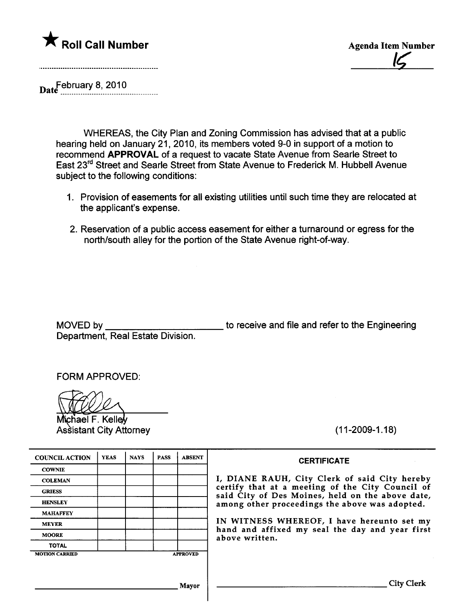

IÇ

Date<sup>February 8, 2010</sup>

WHEREAS, the City Plan and Zoning Commission has advised that at a public hearing held on January 21, 2010, its members voted 9-0 in support of a motion to recommend APPROVAL of a request to vacate State Avenue from Searle Street to East 23rd Street and Searle Street from State Avenue to Frederick M. Hubbell Avenue subject to the following conditions:

- 1. Provision of easements for all existing utilities until such time they are relocated at the applicant's expense.
- 2. Reservation of a public access easement for either a turnaround or egress for the north/south alley for the portion of the State Avenue right-of-way.

MOVED by Department, Real Estate Division. to receive and file and refer to the Engineering

FORM APPROVED:

Michael F. Kelley<br>Assistant City Attorney

(11-2009-1.18)

| <b>YEAS</b>     | <b>NAYS</b> | <b>PASS</b> | <b>ABSENT</b> |
|-----------------|-------------|-------------|---------------|
|                 |             |             |               |
|                 |             |             |               |
|                 |             |             |               |
|                 |             |             |               |
|                 |             |             |               |
|                 |             |             |               |
|                 |             |             |               |
|                 |             |             |               |
| <b>APPROVED</b> |             |             |               |
|                 |             |             |               |

I, DIANE RAUH, City Clerk of said City hereby certify that at a meeting of the City Council of said City of Des Moines, held on the above date, among other proceedings the above was adopted.

**CERTIFICATE** 

IN WITNESS WHEREOF, I have hereunto set my hand and affixed my seal the day and year first above written.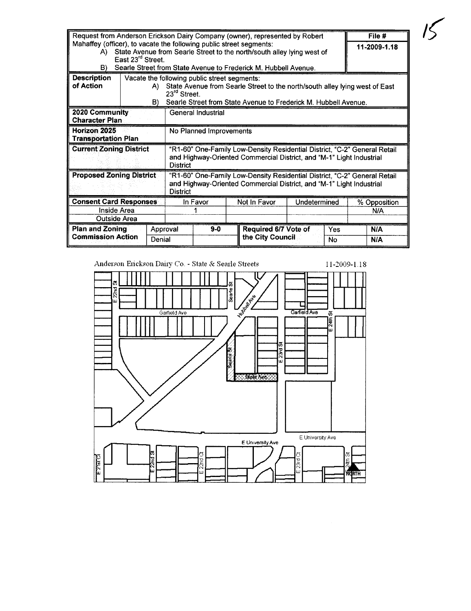| Request from Anderson Erickson Dairy Company (owner), represented by Robert                                                                                                                             |                                                               |          |                                                                                                                                                                      |                                                                 |  |                      |           | File #       |            |
|---------------------------------------------------------------------------------------------------------------------------------------------------------------------------------------------------------|---------------------------------------------------------------|----------|----------------------------------------------------------------------------------------------------------------------------------------------------------------------|-----------------------------------------------------------------|--|----------------------|-----------|--------------|------------|
| Mahaffey (officer), to vacate the following public street segments:                                                                                                                                     |                                                               |          |                                                                                                                                                                      |                                                                 |  |                      |           | 11-2009-1.18 |            |
| State Avenue from Searle Street to the north/south alley lying west of<br>A).                                                                                                                           |                                                               |          |                                                                                                                                                                      |                                                                 |  |                      |           |              |            |
| East 23 <sup>rd</sup> Street.                                                                                                                                                                           |                                                               |          |                                                                                                                                                                      |                                                                 |  |                      |           |              |            |
| Searle Street from State Avenue to Frederick M. Hubbell Avenue.<br>B).                                                                                                                                  |                                                               |          |                                                                                                                                                                      |                                                                 |  |                      |           |              |            |
| <b>Description</b>                                                                                                                                                                                      |                                                               |          | Vacate the following public street segments:                                                                                                                         |                                                                 |  |                      |           |              |            |
| of Action                                                                                                                                                                                               |                                                               | A).      | State Avenue from Searle Street to the north/south alley lying west of East<br>23 <sup>rd</sup> Street.                                                              |                                                                 |  |                      |           |              |            |
|                                                                                                                                                                                                         |                                                               | B).      |                                                                                                                                                                      | Searle Street from State Avenue to Frederick M. Hubbell Avenue. |  |                      |           |              |            |
|                                                                                                                                                                                                         | 2020 Community<br>General Industrial<br><b>Character Plan</b> |          |                                                                                                                                                                      |                                                                 |  |                      |           |              |            |
| Horizon 2025<br>No Planned Improvements<br>Transportation Plan                                                                                                                                          |                                                               |          |                                                                                                                                                                      |                                                                 |  |                      |           |              |            |
| <b>Current Zoning District</b>                                                                                                                                                                          |                                                               |          | "R1-60" One-Family Low-Density Residential District, "C-2" General Retail<br>and Highway-Oriented Commercial District, and "M-1" Light Industrial<br><b>District</b> |                                                                 |  |                      |           |              |            |
| <b>Proposed Zoning District</b><br>"R1-60" One-Family Low-Density Residential District, "C-2" General Retail<br>and Highway-Oriented Commercial District, and "M-1" Light Industrial<br><b>District</b> |                                                               |          |                                                                                                                                                                      |                                                                 |  |                      |           |              |            |
| <b>Consent Card Responses</b>                                                                                                                                                                           |                                                               |          | In Favor                                                                                                                                                             | Not In Favor                                                    |  | Undetermined         |           | % Opposition |            |
| <b>Inside Area</b>                                                                                                                                                                                      |                                                               |          |                                                                                                                                                                      |                                                                 |  |                      | N/A       |              |            |
| <b>Outside Area</b>                                                                                                                                                                                     |                                                               |          |                                                                                                                                                                      |                                                                 |  |                      |           |              |            |
| <b>Plan and Zoning</b><br><b>Commission Action</b>                                                                                                                                                      |                                                               | Approval |                                                                                                                                                                      | $9-0$                                                           |  | Required 6/7 Vote of | Yes<br>No |              | <b>N/A</b> |
|                                                                                                                                                                                                         |                                                               | Denial   |                                                                                                                                                                      |                                                                 |  | the City Council     |           |              | <b>N/A</b> |

Anderson Erickson Dairy Co. - State & Searle Streets

 $11-2009-1.18$ 

 $15$ 

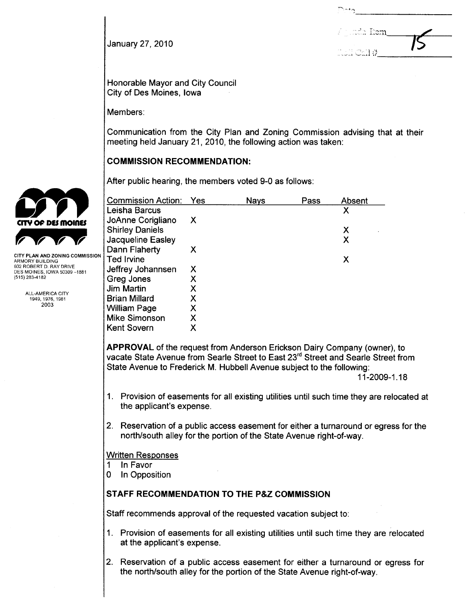| 15 |
|----|
|    |

January 27,2010

Honorable Mayor and City Council City of Des Moines, Iowa

Members:

Communication from the City Plan and Zoning Commission advising that at their meeting held January 21, 2010, the following action was taken:

COMMISSION RECOMMENDATION:

|                                                                          | After public hearing, the members voted 9-0 as follows: |     |             |      |        |  |  |
|--------------------------------------------------------------------------|---------------------------------------------------------|-----|-------------|------|--------|--|--|
|                                                                          | <b>Commission Action:</b>                               | Yes | <b>Nays</b> | Pass | Absent |  |  |
|                                                                          | Leisha Barcus                                           |     |             |      | Χ      |  |  |
| CITY OF DES MOINES                                                       | JoAnne Corigliano                                       | X   |             |      |        |  |  |
|                                                                          | <b>Shirley Daniels</b>                                  |     |             |      | X      |  |  |
|                                                                          | Jacqueline Easley                                       |     |             |      | Χ      |  |  |
|                                                                          | Dann Flaherty                                           | Х   |             |      |        |  |  |
| CITY PLAN AND ZONING COMMISSION.<br>ARMORY BUILDING                      | Ted Irvine                                              |     |             |      | X      |  |  |
| 602 ROBERT D. RAY DRIVE<br>DES MOINES, IOWA 50309-1881<br>(515) 283-4182 | Jeffrey Johannsen                                       | X   |             |      |        |  |  |
|                                                                          | Greg Jones                                              | х   |             |      |        |  |  |
|                                                                          | <b>Jim Martin</b>                                       | Χ   |             |      |        |  |  |
| ALL-AMERICA CITY<br>1949, 1976, 1981                                     | Brian Millard                                           | Χ   |             |      |        |  |  |
| 2003                                                                     | William Page                                            | X   |             |      |        |  |  |
|                                                                          | <b>Mike Simonson</b>                                    | Χ   |             |      |        |  |  |
|                                                                          | <b>Kent Sovern</b>                                      | Χ   |             |      |        |  |  |

APPROVAL of the request from Anderson Erickson Dairy Company (owner), to vacate State Avenue from Searle Street to East 23<sup>rd</sup> Street and Searle Street from State Avenue to Frederick M. Hubbell Avenue subject to the following:

11-2009-1.18

- 1. Provision of easements for all existing utilities until such time they are relocated at the applicant's expense.
- 2. Reservation of a public access easement for either a turnaround or egress for the north/south alley for the portion of the State Avenue right-of-way.

Written Responses

- 1 In Favor
- o In Opposition

# STAFF RECOMMENDATION TO THE P&Z COMMISSION

Staff recommends approval of the requested vacation subject to:

- 1. Provision of easements for all existing utilities until such time they are relocated at the applicant's expense.
- 2. Reservation of a public access easement for either a turnaround or egress for the north/south alley for the portion of the State Avenue right-of-way.

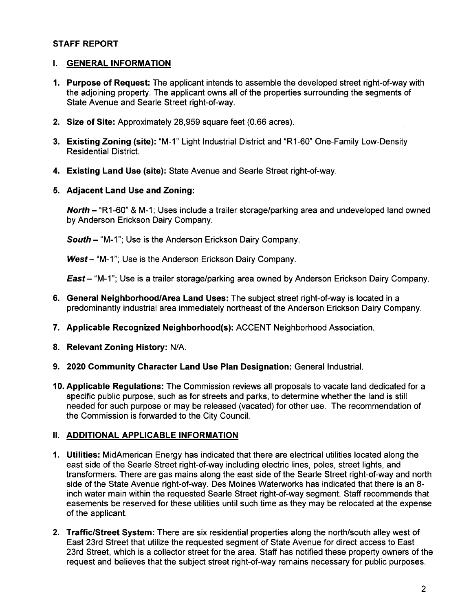### STAFF REPORT

# i. GENERAL INFORMATION

- 1. Purpose of Request: The applicant intends to assemble the developed street right-of-way with the adjoining property. The applicant owns all of the properties surrounding the segments of State Avenue and Searle Street right-of-way.
- 2. Size of Site: Approximately 28,959 square feet (0.66 acres).
- 3. Existing Zoning (site): "M-1" Light Industrial District and "R1-60" One-Family Low-Density Residential District.
- 4. Existing Land Use (site): State Avenue and Searle Street right-of-way.
- 5. Adjacent Land Use and Zoning:

North - "R1-60" & M-1; Uses include a trailer storage/parking area and undeveloped land owned by Anderson Erickson Dairy Company.

South - "M-1"; Use is the Anderson Erickson Dairy Company.

West - "M-1"; Use is the Anderson Erickson Dairy Company.

East - "M-1"; Use is a trailer storage/parking area owned by Anderson Erickson Dairy Company.

- 6. General Neighborhood/Area Land Uses: The subject street right-of-way is located in a predominantly industrial area immediately northeast of the Anderson Erickson Dairy Company.
- 7. Applicable Recognized Neighborhood(s): ACCENT Neighborhood Association.
- 8. Relevant Zoning History: N/A.
- 9. 2020 Community Character Land Use Plan Designation: General Industrial.
- 10. Applicable Regulations: The Commission reviews all proposals to vacate land dedicated for a specific public purpose, such as for streets and parks, to determine whether the land is still needed for such purpose or may be released (vacated) for other use. The recommendation of the Commission is forwarded to the City CounciL.

#### II. ADDITIONAL APPLICABLE INFORMATION

- 1. Utilties: MidAmerican Energy has indicated that there are electrical utilities located along the east side of the Searle Street right-of-way including electric lines, poles, street lights, and transformers. There are gas mains along the east side of the Searle Street right-of-way and north side of the State Avenue right-of-way. Des Moines Waterworks has indicated that there is an 8 inch water main within the requested Searle Street right-of-way segment. Staff recommends that easements be reserved for these utilities until such time as they may be relocated at the expense of the applicant.
- 2. Traffic/Street System: There are six residential properties along the north/south alley west of East 23rd Street that utilize the requested segment of State Avenue for direct access to East 23rd Street, which is a collector street for the area. Staff has notified these property owners of the request and believes that the subject street right-of-way remains necessary for public purposes.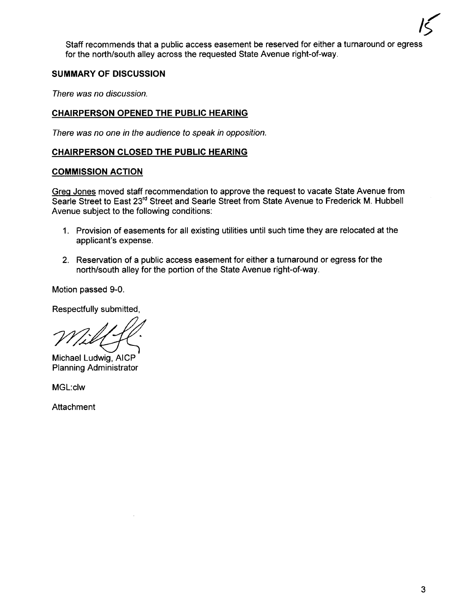$\overline{15}$ Staff recommends that a public access easement be reserved for either a turnaround or egress for the north/south alley across the requested State Avenue right-of-way.

# SUMMARY OF DISCUSSION

There was no discussion.

# CHAIRPERSON OPENED THE PUBLIC HEARING

There was no one in the audience to speak in opposition.

#### CHAIRPERSON CLOSED THE PUBLIC HEARING

#### COMMISSION ACTION

Grea Jones moved staff recommendation to approve the request to vacate State Avenue from Searle Street to East 23<sup>rd</sup> Street and Searle Street from State Avenue to Frederick M. Hubbell Avenue subject to the following conditions:

- 1. Provision of easements for all existing utilities until such time they are relocated at the applicant's expense.
- 2. Reservation of a public access easement for either a turnaround or egress for the north/south alley for the portion of the State Avenue right-of-way.

Motion passed 9-0.

Respectfully submitted,

napana<br>Wiki

Michael Ludwig, AICP Planning Administrator

MGL:clw

Attachment